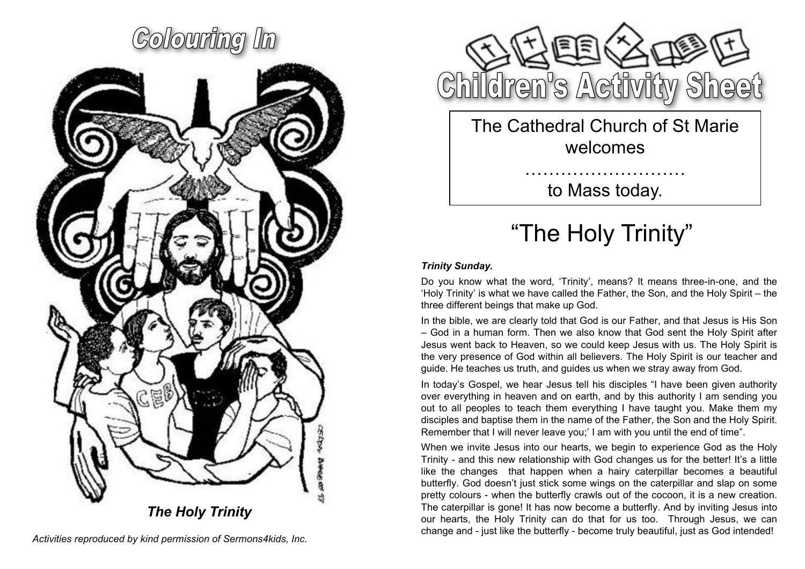



The Cathedral Church of St Marie welcomes

to Mass today.

………………………

### "The Holy Trinity"

### *Trinity Sunday.*

Do you know what the word, 'Trinity', means? It means three-in-one, and the 'Holy Trinity' is what we have called the Father, the Son, and the Holy Spirit – the three different beings that make up God.

In the bible, we are clearly told that God is our Father, and that Jesus is His Son – God in a human form. Then we also know that God sent the Holy Spirit after Jesus went back to Heaven, so we could keep Jesus with us. The Holy Spirit is the very presence of God within all believers. The Holy Spirit is our teacher and guide. He teaches us truth, and guides us when we stray away from God.

In today's Gospel, we hear Jesus tell his disciples "I have been given authority over everything in heaven and on earth, and by this authority I am sending you out to all peoples to teach them everything I have taught you. Make them my disciples and baptise them in the name of the Father, the Son and the Holy Spirit. Remember that I will never leave you;' I am with you until the end of time".

When we invite Jesus into our hearts, we begin to experience God as the Holy Trinity - and this new relationship with God changes us for the better! It's a little like the changes that happen when a hairy caterpillar becomes a beautiful butterfly. God doesn't just stick some wings on the caterpillar and slap on some pretty colours - when the butterfly crawls out of the cocoon, it is a new creation. The caterpillar is gone! It has now become a butterfly. And by inviting Jesus into our hearts, the Holy Trinity can do that for us too. Through Jesus, we can change and - just like the butterfly - become truly beautiful, just as God intended!